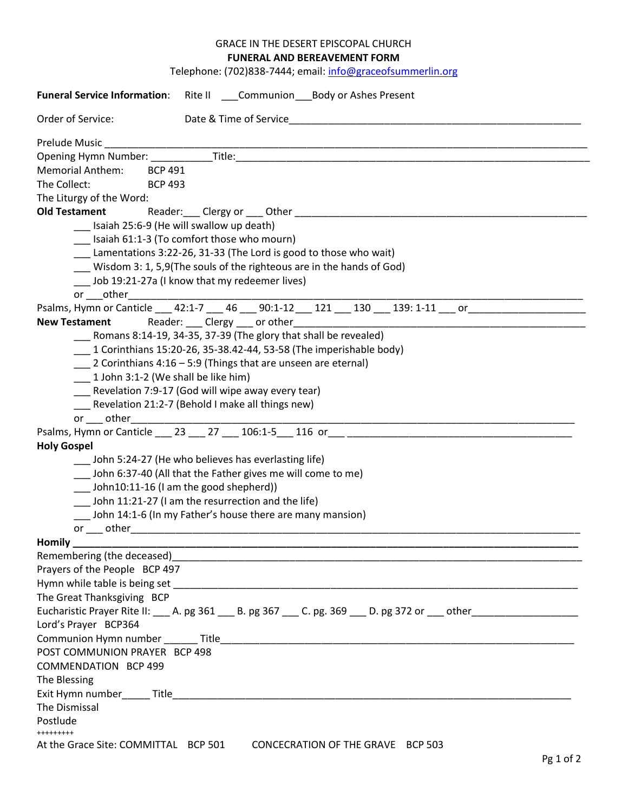## GRACE IN THE DESERT EPISCOPAL CHURCH **FUNERAL AND BEREAVEMENT FORM**

Telephone: (702)838-7444; email: [info@graceofsummerlin.org](mailto:info@graceofsummerlin.org)

| Funeral Service Information: Rite II _____ Communion Body or Ashes Present                                           |  |  |  |  |  |  |
|----------------------------------------------------------------------------------------------------------------------|--|--|--|--|--|--|
| Order of Service:<br>Date & Time of Service                                                                          |  |  |  |  |  |  |
|                                                                                                                      |  |  |  |  |  |  |
|                                                                                                                      |  |  |  |  |  |  |
| Memorial Anthem: BCP 491                                                                                             |  |  |  |  |  |  |
| The Collect: BCP 493                                                                                                 |  |  |  |  |  |  |
| The Liturgy of the Word:                                                                                             |  |  |  |  |  |  |
| <b>Old Testament</b>                                                                                                 |  |  |  |  |  |  |
| Isaiah 25:6-9 (He will swallow up death)                                                                             |  |  |  |  |  |  |
| [131] Isaiah 61:1-3 (To comfort those who mourn)                                                                     |  |  |  |  |  |  |
| Lamentations 3:22-26, 31-33 (The Lord is good to those who wait)                                                     |  |  |  |  |  |  |
| Wisdom 3: 1, 5,9(The souls of the righteous are in the hands of God)                                                 |  |  |  |  |  |  |
| Lob 19:21-27a (I know that my redeemer lives)                                                                        |  |  |  |  |  |  |
|                                                                                                                      |  |  |  |  |  |  |
| Psalms, Hymn or Canticle 12:1-7 146 190:1-12 121 130 139: 1-11 corporation or                                        |  |  |  |  |  |  |
|                                                                                                                      |  |  |  |  |  |  |
| Romans 8:14-19, 34-35, 37-39 (The glory that shall be revealed)                                                      |  |  |  |  |  |  |
| $\frac{1}{2}$ Corinthians 15:20-26, 35-38.42-44, 53-58 (The imperishable body)                                       |  |  |  |  |  |  |
| $\frac{1}{2}$ Corinthians 4:16 – 5:9 (Things that are unseen are eternal)                                            |  |  |  |  |  |  |
|                                                                                                                      |  |  |  |  |  |  |
| $\sim$ 1 John 3:1-2 (We shall be like him)                                                                           |  |  |  |  |  |  |
| Revelation 7:9-17 (God will wipe away every tear)                                                                    |  |  |  |  |  |  |
| Revelation 21:2-7 (Behold I make all things new)                                                                     |  |  |  |  |  |  |
| or ____ other_____________________                                                                                   |  |  |  |  |  |  |
|                                                                                                                      |  |  |  |  |  |  |
| <b>Holy Gospel</b>                                                                                                   |  |  |  |  |  |  |
| John 5:24-27 (He who believes has everlasting life)                                                                  |  |  |  |  |  |  |
| __ John 6:37-40 (All that the Father gives me will come to me)                                                       |  |  |  |  |  |  |
| __ John10:11-16 (I am the good shepherd))                                                                            |  |  |  |  |  |  |
| John 11:21-27 (I am the resurrection and the life)                                                                   |  |  |  |  |  |  |
| John 14:1-6 (In my Father's house there are many mansion)                                                            |  |  |  |  |  |  |
|                                                                                                                      |  |  |  |  |  |  |
| Homily $\qquad \qquad$                                                                                               |  |  |  |  |  |  |
|                                                                                                                      |  |  |  |  |  |  |
| Prayers of the People BCP 497                                                                                        |  |  |  |  |  |  |
|                                                                                                                      |  |  |  |  |  |  |
| The Great Thanksgiving BCP                                                                                           |  |  |  |  |  |  |
| Eucharistic Prayer Rite II: ___ A. pg 361 ___ B. pg 367 ___ C. pg. 369 ___ D. pg 372 or ___ other __________________ |  |  |  |  |  |  |
| Lord's Prayer BCP364                                                                                                 |  |  |  |  |  |  |
|                                                                                                                      |  |  |  |  |  |  |
| POST COMMUNION PRAYER BCP 498                                                                                        |  |  |  |  |  |  |
|                                                                                                                      |  |  |  |  |  |  |
| <b>COMMENDATION BCP 499</b>                                                                                          |  |  |  |  |  |  |
| The Blessing                                                                                                         |  |  |  |  |  |  |
|                                                                                                                      |  |  |  |  |  |  |
| The Dismissal                                                                                                        |  |  |  |  |  |  |
| Postlude                                                                                                             |  |  |  |  |  |  |
| +++++++++                                                                                                            |  |  |  |  |  |  |
| At the Grace Site: COMMITTAL BCP 501<br>CONCECRATION OF THE GRAVE BCP 503                                            |  |  |  |  |  |  |